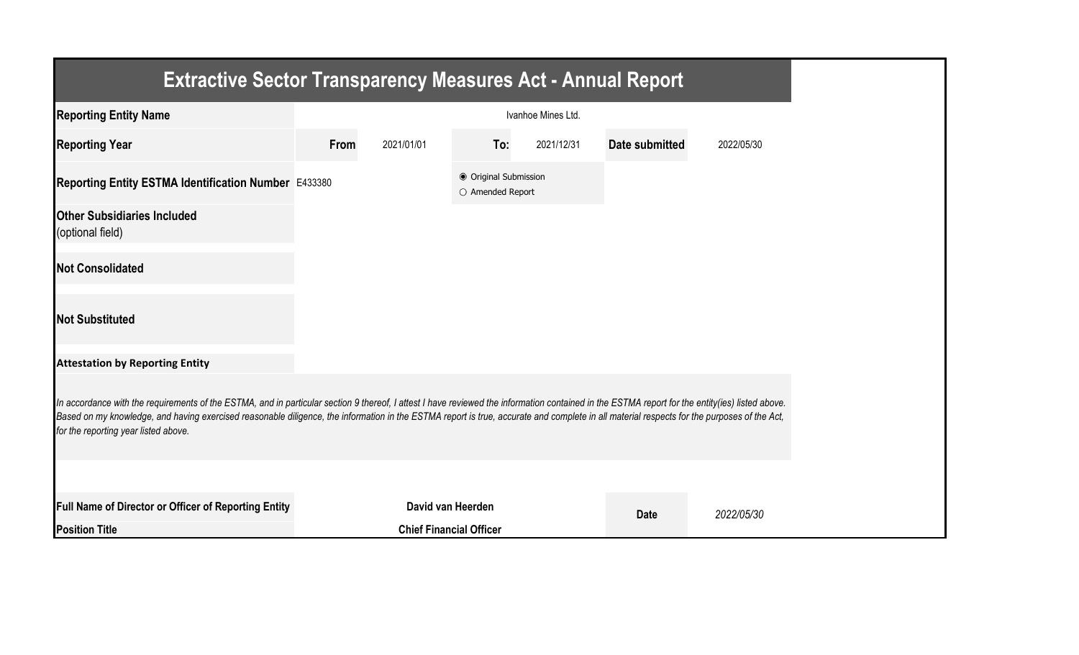| <b>Extractive Sector Transparency Measures Act - Annual Report</b>                                                                                                                                                                                                                                                                                                                                                                    |      |                                |                                           |                    |                |            |
|---------------------------------------------------------------------------------------------------------------------------------------------------------------------------------------------------------------------------------------------------------------------------------------------------------------------------------------------------------------------------------------------------------------------------------------|------|--------------------------------|-------------------------------------------|--------------------|----------------|------------|
| <b>Reporting Entity Name</b>                                                                                                                                                                                                                                                                                                                                                                                                          |      |                                |                                           | Ivanhoe Mines Ltd. |                |            |
| <b>Reporting Year</b>                                                                                                                                                                                                                                                                                                                                                                                                                 | From | 2021/01/01                     | To:                                       | 2021/12/31         | Date submitted | 2022/05/30 |
| Reporting Entity ESTMA Identification Number E433380                                                                                                                                                                                                                                                                                                                                                                                  |      |                                | ● Original Submission<br>O Amended Report |                    |                |            |
| <b>Other Subsidiaries Included</b><br>(optional field)                                                                                                                                                                                                                                                                                                                                                                                |      |                                |                                           |                    |                |            |
| <b>Not Consolidated</b>                                                                                                                                                                                                                                                                                                                                                                                                               |      |                                |                                           |                    |                |            |
| <b>Not Substituted</b>                                                                                                                                                                                                                                                                                                                                                                                                                |      |                                |                                           |                    |                |            |
| <b>Attestation by Reporting Entity</b>                                                                                                                                                                                                                                                                                                                                                                                                |      |                                |                                           |                    |                |            |
| In accordance with the requirements of the ESTMA, and in particular section 9 thereof, I attest I have reviewed the information contained in the ESTMA report for the entity(ies) listed above.<br>Based on my knowledge, and having exercised reasonable diligence, the information in the ESTMA report is true, accurate and complete in all material respects for the purposes of the Act,<br>for the reporting year listed above. |      |                                |                                           |                    |                |            |
|                                                                                                                                                                                                                                                                                                                                                                                                                                       |      |                                |                                           |                    |                |            |
| Full Name of Director or Officer of Reporting Entity                                                                                                                                                                                                                                                                                                                                                                                  |      | David van Heerden              |                                           |                    | <b>Date</b>    | 2022/05/30 |
| <b>Position Title</b>                                                                                                                                                                                                                                                                                                                                                                                                                 |      | <b>Chief Financial Officer</b> |                                           |                    |                |            |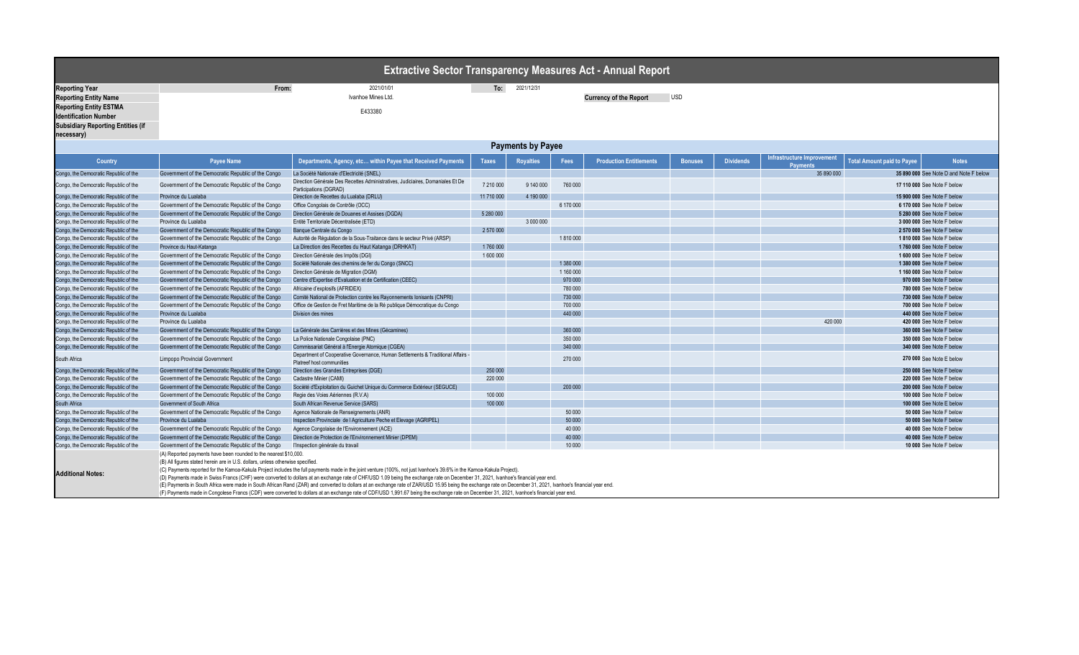**necessary)**

|                                                               |       | <b>∣ Extractive Sector Transparency Measures Act - Annual Report I</b> |     |            |                               |            |  |  |  |  |
|---------------------------------------------------------------|-------|------------------------------------------------------------------------|-----|------------|-------------------------------|------------|--|--|--|--|
| <b>Reporting Year</b>                                         | From: | 2021/01/01                                                             | To: | 2021/12/31 |                               |            |  |  |  |  |
| <b>Reporting Entity Name</b>                                  |       | Ivanhoe Mines Ltd.                                                     |     |            | <b>Currency of the Report</b> | <b>USD</b> |  |  |  |  |
| <b>Reporting Entity ESTMA</b><br><b>Identification Number</b> |       | E433380                                                                |     |            |                               |            |  |  |  |  |
| <b>Subsidiary Reporting Entities (if</b>                      |       |                                                                        |     |            |                               |            |  |  |  |  |

| <b>Payments by Payee</b>              |                                                                                                                                                    |                                                                                                                                                                                                                                                                                                                                                                                                                                                                                                                                                                                                                                                                                                                                                                         |            |                                  |           |                                |                |                  |                                               |                                   |                                        |
|---------------------------------------|----------------------------------------------------------------------------------------------------------------------------------------------------|-------------------------------------------------------------------------------------------------------------------------------------------------------------------------------------------------------------------------------------------------------------------------------------------------------------------------------------------------------------------------------------------------------------------------------------------------------------------------------------------------------------------------------------------------------------------------------------------------------------------------------------------------------------------------------------------------------------------------------------------------------------------------|------------|----------------------------------|-----------|--------------------------------|----------------|------------------|-----------------------------------------------|-----------------------------------|----------------------------------------|
| <b>Country</b>                        | <b>Payee Name</b>                                                                                                                                  | Departments, Agency, etc within Payee that Received Payments                                                                                                                                                                                                                                                                                                                                                                                                                                                                                                                                                                                                                                                                                                            |            | <b>Taxes</b><br><b>Royalties</b> |           | <b>Production Entitlements</b> | <b>Bonuses</b> | <b>Dividends</b> | Infrastructure Improvement<br><b>Payments</b> | <b>Total Amount paid to Payee</b> | <b>Notes</b>                           |
| Congo, the Democratic Republic of the | Government of the Democratic Republic of the Congo                                                                                                 | La Société Nationale d'Electricité (SNEL)                                                                                                                                                                                                                                                                                                                                                                                                                                                                                                                                                                                                                                                                                                                               |            |                                  |           |                                |                |                  | 35 890 000                                    |                                   | 35 890 000 See Note D and Note F below |
| Congo, the Democratic Republic of the | Government of the Democratic Republic of the Congo                                                                                                 | Direction Générale Des Recettes Administratives, Judiciaires, Domaniales Et De<br>Participations (DGRAD)                                                                                                                                                                                                                                                                                                                                                                                                                                                                                                                                                                                                                                                                | 7 210 000  | 9 140 000                        | 760 000   |                                |                |                  |                                               |                                   | 17 110 000 See Note F below            |
| Congo, the Democratic Republic of the | Province du Lualaba                                                                                                                                | Direction de Recettes du Lualaba (DRLU)                                                                                                                                                                                                                                                                                                                                                                                                                                                                                                                                                                                                                                                                                                                                 | 11 710 000 | 4 190 000                        |           |                                |                |                  |                                               |                                   | 15 900 000 See Note F below            |
| Congo, the Democratic Republic of the | Government of the Democratic Republic of the Congo                                                                                                 | Office Congolais de Contrôle (OCC)                                                                                                                                                                                                                                                                                                                                                                                                                                                                                                                                                                                                                                                                                                                                      |            |                                  | 6 170 000 |                                |                |                  |                                               |                                   | 6 170 000 See Note F below             |
| Congo, the Democratic Republic of the | Government of the Democratic Republic of the Congo                                                                                                 | Direction Générale de Douanes et Assises (DGDA)                                                                                                                                                                                                                                                                                                                                                                                                                                                                                                                                                                                                                                                                                                                         | 5 280 000  |                                  |           |                                |                |                  |                                               |                                   | 5 280 000 See Note F below             |
| Congo, the Democratic Republic of the | Province du Lualaba                                                                                                                                | Entité Territoriale Décentralisée (ETD)                                                                                                                                                                                                                                                                                                                                                                                                                                                                                                                                                                                                                                                                                                                                 |            | 3 000 000                        |           |                                |                |                  |                                               |                                   | 3 000 000 See Note F below             |
| Congo, the Democratic Republic of the | Government of the Democratic Republic of the Congo                                                                                                 | Banque Centrale du Congo                                                                                                                                                                                                                                                                                                                                                                                                                                                                                                                                                                                                                                                                                                                                                | 2 570 000  |                                  |           |                                |                |                  |                                               |                                   | 2 570 000 See Note F below             |
| Congo, the Democratic Republic of the | Government of the Democratic Republic of the Congo                                                                                                 | Autorité de Régulation de la Sous-Traitance dans le secteur Privé (ARSP)                                                                                                                                                                                                                                                                                                                                                                                                                                                                                                                                                                                                                                                                                                |            |                                  | 1810000   |                                |                |                  |                                               |                                   | 1810 000 See Note F below              |
| Congo, the Democratic Republic of the | Province du Haut-Katanga                                                                                                                           | La Direction des Recettes du Haut Katanga (DRHKAT)                                                                                                                                                                                                                                                                                                                                                                                                                                                                                                                                                                                                                                                                                                                      | 1760000    |                                  |           |                                |                |                  |                                               |                                   | 1760 000 See Note F below              |
| Congo, the Democratic Republic of the | Government of the Democratic Republic of the Congo                                                                                                 | Direction Générale des Impôts (DGI)                                                                                                                                                                                                                                                                                                                                                                                                                                                                                                                                                                                                                                                                                                                                     | 1600000    |                                  |           |                                |                |                  |                                               |                                   | 1 600 000 See Note F below             |
| Congo, the Democratic Republic of the | Government of the Democratic Republic of the Congo                                                                                                 | Société Nationale des chemins de fer du Congo (SNCC)                                                                                                                                                                                                                                                                                                                                                                                                                                                                                                                                                                                                                                                                                                                    |            |                                  | 1 380 000 |                                |                |                  |                                               |                                   | 1 380 000 See Note F below             |
| Congo, the Democratic Republic of the | Government of the Democratic Republic of the Congo                                                                                                 | Direction Générale de Migration (DGM)                                                                                                                                                                                                                                                                                                                                                                                                                                                                                                                                                                                                                                                                                                                                   |            |                                  | 1 160 000 |                                |                |                  |                                               |                                   | 1 160 000 See Note F below             |
| Congo, the Democratic Republic of the | Government of the Democratic Republic of the Congo                                                                                                 | Centre d'Expertise d'Evaluation et de Certification (CEEC)                                                                                                                                                                                                                                                                                                                                                                                                                                                                                                                                                                                                                                                                                                              |            |                                  | 970 000   |                                |                |                  |                                               |                                   | 970 000 See Note F below               |
| Congo, the Democratic Republic of the | Government of the Democratic Republic of the Congo                                                                                                 | Africaine d'explosifs (AFRIDEX)                                                                                                                                                                                                                                                                                                                                                                                                                                                                                                                                                                                                                                                                                                                                         |            |                                  | 780 000   |                                |                |                  |                                               |                                   | 780 000 See Note F below               |
| Congo, the Democratic Republic of the | Government of the Democratic Republic of the Congo                                                                                                 | Comité National de Protection contre les Rayonnements Ionisants (CNPRI)                                                                                                                                                                                                                                                                                                                                                                                                                                                                                                                                                                                                                                                                                                 |            |                                  | 730 000   |                                |                |                  |                                               |                                   | 730 000 See Note F below               |
| Congo, the Democratic Republic of the | Government of the Democratic Republic of the Congo                                                                                                 | Office de Gestion de Fret Maritime de la Ré publique Démocratique du Congo                                                                                                                                                                                                                                                                                                                                                                                                                                                                                                                                                                                                                                                                                              |            |                                  | 700 000   |                                |                |                  |                                               |                                   | 700 000 See Note F below               |
| Congo, the Democratic Republic of the | Province du Lualaba                                                                                                                                | Division des mines                                                                                                                                                                                                                                                                                                                                                                                                                                                                                                                                                                                                                                                                                                                                                      |            |                                  | 440 000   |                                |                |                  |                                               |                                   | 440 000 See Note F below               |
| Congo, the Democratic Republic of the | Province du Lualaba                                                                                                                                |                                                                                                                                                                                                                                                                                                                                                                                                                                                                                                                                                                                                                                                                                                                                                                         |            |                                  |           |                                |                |                  | 420 000                                       |                                   | 420 000 See Note F below               |
| Congo, the Democratic Republic of the | Government of the Democratic Republic of the Congo                                                                                                 | La Générale des Carrières et des Mines (Gécamines)                                                                                                                                                                                                                                                                                                                                                                                                                                                                                                                                                                                                                                                                                                                      |            |                                  | 360 000   |                                |                |                  |                                               |                                   | 360 000 See Note F below               |
| Congo, the Democratic Republic of the | Government of the Democratic Republic of the Congo                                                                                                 | La Police Nationale Congolaise (PNC)                                                                                                                                                                                                                                                                                                                                                                                                                                                                                                                                                                                                                                                                                                                                    |            |                                  | 350 000   |                                |                |                  |                                               |                                   | 350 000 See Note F below               |
| Congo, the Democratic Republic of the | Government of the Democratic Republic of the Congo                                                                                                 | Commissariat Général à l'Energie Atomique (CGEA)                                                                                                                                                                                                                                                                                                                                                                                                                                                                                                                                                                                                                                                                                                                        |            |                                  | 340 000   |                                |                |                  |                                               |                                   | 340 000 See Note F below               |
| South Africa                          | <b>Limpopo Provincial Government</b>                                                                                                               | Department of Cooperative Governance, Human Settlements & Traditional Affairs -<br>Platreef host communities                                                                                                                                                                                                                                                                                                                                                                                                                                                                                                                                                                                                                                                            |            |                                  | 270 000   |                                |                |                  |                                               |                                   | 270 000 See Note E below               |
| Congo, the Democratic Republic of the | Government of the Democratic Republic of the Congo                                                                                                 | Direction des Grandes Entreprises (DGE)                                                                                                                                                                                                                                                                                                                                                                                                                                                                                                                                                                                                                                                                                                                                 | 250 000    |                                  |           |                                |                |                  |                                               |                                   | 250 000 See Note F below               |
| Congo, the Democratic Republic of the | Government of the Democratic Republic of the Congo                                                                                                 | Cadastre Minier (CAMI)                                                                                                                                                                                                                                                                                                                                                                                                                                                                                                                                                                                                                                                                                                                                                  | 220 000    |                                  |           |                                |                |                  |                                               |                                   | 220 000 See Note F below               |
| Congo, the Democratic Republic of the | Government of the Democratic Republic of the Congo                                                                                                 | Société d'Exploitation du Guichet Unique du Commerce Extérieur (SEGUCE)                                                                                                                                                                                                                                                                                                                                                                                                                                                                                                                                                                                                                                                                                                 |            |                                  | 200 000   |                                |                |                  |                                               |                                   | 200 000 See Note F below               |
| Congo, the Democratic Republic of the | Government of the Democratic Republic of the Congo                                                                                                 | Regie des Voies Aériennes (R.V.A)                                                                                                                                                                                                                                                                                                                                                                                                                                                                                                                                                                                                                                                                                                                                       | 100 000    |                                  |           |                                |                |                  |                                               |                                   | 100 000 See Note F below               |
| South Africa                          | Government of South Africa                                                                                                                         | South African Revenue Service (SARS)                                                                                                                                                                                                                                                                                                                                                                                                                                                                                                                                                                                                                                                                                                                                    | 100 000    |                                  |           |                                |                |                  |                                               |                                   | 100 000 See Note E below               |
| Congo, the Democratic Republic of the | Government of the Democratic Republic of the Congo                                                                                                 | Agence Nationale de Renseignements (ANR)                                                                                                                                                                                                                                                                                                                                                                                                                                                                                                                                                                                                                                                                                                                                |            |                                  | 50 000    |                                |                |                  |                                               |                                   | 50 000 See Note F below                |
| Congo, the Democratic Republic of the | Province du Lualaba                                                                                                                                | Inspection Provinciale de l Agriculture Peche et Elevage (AGRIPEL)                                                                                                                                                                                                                                                                                                                                                                                                                                                                                                                                                                                                                                                                                                      |            |                                  | 50 000    |                                |                |                  |                                               |                                   | 50 000 See Note F below                |
| Congo, the Democratic Republic of the | Government of the Democratic Republic of the Congo                                                                                                 | Agence Congolaise de l'Environnement (ACE)                                                                                                                                                                                                                                                                                                                                                                                                                                                                                                                                                                                                                                                                                                                              |            |                                  | 40 000    |                                |                |                  |                                               |                                   | 40 000 See Note F below                |
| Congo, the Democratic Republic of the | Government of the Democratic Republic of the Congo                                                                                                 | Direction de Protection de l'Environnement Minier (DPEM)                                                                                                                                                                                                                                                                                                                                                                                                                                                                                                                                                                                                                                                                                                                |            |                                  | 40 000    |                                |                |                  |                                               |                                   | 40 000 See Note F below                |
| Congo, the Democratic Republic of the | Government of the Democratic Republic of the Congo                                                                                                 | l'Inspection générale du travail                                                                                                                                                                                                                                                                                                                                                                                                                                                                                                                                                                                                                                                                                                                                        |            |                                  | 10 000    |                                |                |                  |                                               |                                   | 10 000 See Note F below                |
| <b>Additional Notes:</b>              | (A) Reported payments have been rounded to the nearest \$10,000.<br>(B) All figures stated herein are in U.S. dollars, unless otherwise specified. | (C) Payments reported for the Kamoa-Kakula Project includes the full payments made in the joint venture (100%, not just Ivanhoe's 39.6% in the Kamoa-Kakula Project).<br>(D) Payments made in Swiss Francs (CHF) were converted to dollars at an exchange rate of CHF/USD 1.09 being the exchange rate on December 31, 2021, Ivanhoe's financial year end.<br>(E) Payments in South Africa were made in South African Rand (ZAR) and converted to dollars at an exchange rate of ZAR/USD 15.95 being the exchange rate on December 31, 2021, Ivanhoe's financial year end.<br>(F) Payments made in Congolese Francs (CDF) were converted to dollars at an exchange rate of CDF/USD 1,991.67 being the exchange rate on December 31, 2021, Ivanhoe's financial year end. |            |                                  |           |                                |                |                  |                                               |                                   |                                        |

## **Measures Act - Annual Report**